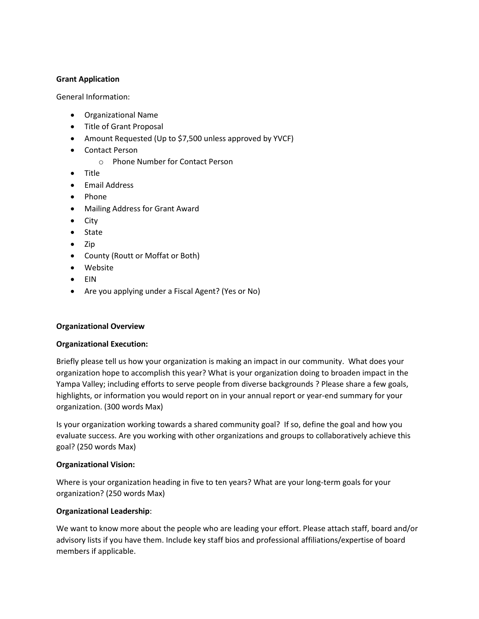## **Grant Application**

General Information:

- Organizational Name
- Title of Grant Proposal
- Amount Requested (Up to \$7,500 unless approved by YVCF)
- Contact Person
	- o Phone Number for Contact Person
- Title
- Email Address
- Phone
- Mailing Address for Grant Award
- City
- State
- Zip
- County (Routt or Moffat or Both)
- Website
- EIN
- Are you applying under a Fiscal Agent? (Yes or No)

# **Organizational Overview**

### **Organizational Execution:**

Briefly please tell us how your organization is making an impact in our community. What does your organization hope to accomplish this year? What is your organization doing to broaden impact in the Yampa Valley; including efforts to serve people from diverse backgrounds ? Please share a few goals, highlights, or information you would report on in your annual report or year-end summary for your organization. (300 words Max)

Is your organization working towards a shared community goal? If so, define the goal and how you evaluate success. Are you working with other organizations and groups to collaboratively achieve this goal? (250 words Max)

# **Organizational Vision:**

Where is your organization heading in five to ten years? What are your long-term goals for your organization? (250 words Max)

### **Organizational Leadership**:

We want to know more about the people who are leading your effort. Please attach staff, board and/or advisory lists if you have them. Include key staff bios and professional affiliations/expertise of board members if applicable.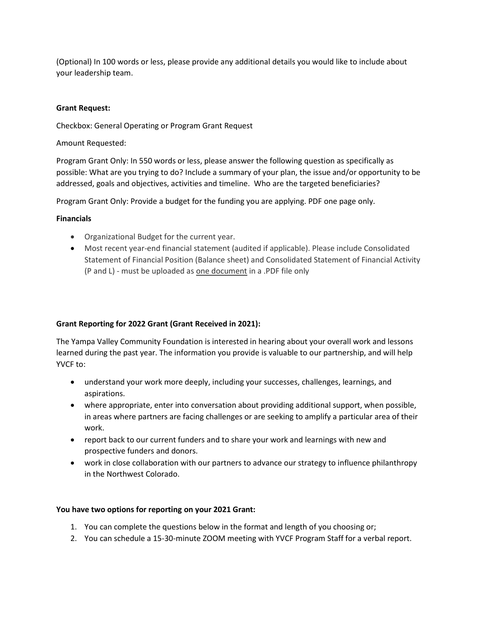(Optional) In 100 words or less, please provide any additional details you would like to include about your leadership team.

### **Grant Request:**

Checkbox: General Operating or Program Grant Request

Amount Requested:

Program Grant Only: In 550 words or less, please answer the following question as specifically as possible: What are you trying to do? Include a summary of your plan, the issue and/or opportunity to be addressed, goals and objectives, activities and timeline. Who are the targeted beneficiaries?

Program Grant Only: Provide a budget for the funding you are applying. PDF one page only.

#### **Financials**

- Organizational Budget for the current year.
- Most recent year-end financial statement (audited if applicable). Please include Consolidated Statement of Financial Position (Balance sheet) and Consolidated Statement of Financial Activity (P and L) - must be uploaded as one document in a .PDF file only

### **Grant Reporting for 2022 Grant (Grant Received in 2021):**

The Yampa Valley Community Foundation is interested in hearing about your overall work and lessons learned during the past year. The information you provide is valuable to our partnership, and will help YVCF to:

- understand your work more deeply, including your successes, challenges, learnings, and aspirations.
- where appropriate, enter into conversation about providing additional support, when possible, in areas where partners are facing challenges or are seeking to amplify a particular area of their work.
- report back to our current funders and to share your work and learnings with new and prospective funders and donors.
- work in close collaboration with our partners to advance our strategy to influence philanthropy in the Northwest Colorado.

#### **You have two options for reporting on your 2021 Grant:**

- 1. You can complete the questions below in the format and length of you choosing or;
- 2. You can schedule a 15-30-minute ZOOM meeting with YVCF Program Staff for a verbal report.